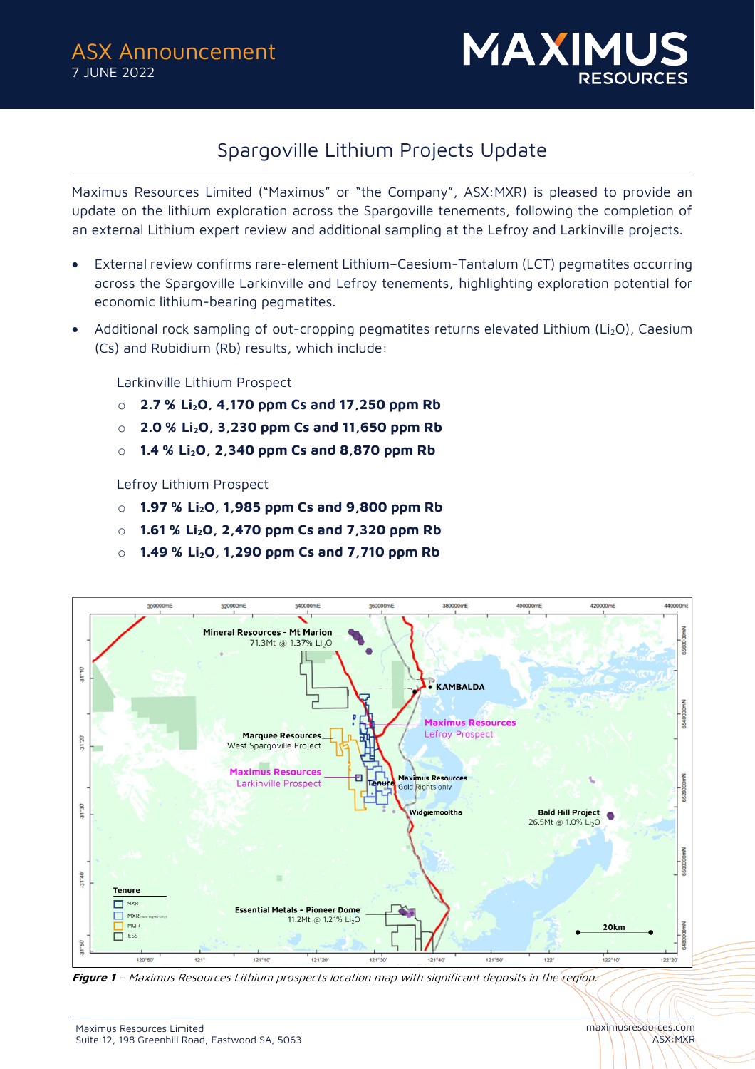

# Spargoville Lithium Projects Update

Maximus Resources Limited ("Maximus" or "the Company", ASX:MXR) is pleased to provide an update on the lithium exploration across the Spargoville tenements, following the completion of an external Lithium expert review and additional sampling at the Lefroy and Larkinville projects.

- External review confirms rare-element Lithium–Caesium-Tantalum (LCT) pegmatites occurring across the Spargoville Larkinville and Lefroy tenements, highlighting exploration potential for economic lithium-bearing pegmatites.
- Additional rock sampling of out-cropping pegmatites returns elevated Lithium (Li<sub>2</sub>O), Caesium (Cs) and Rubidium (Rb) results, which include:

Larkinville Lithium Prospect

- o **2.7 % Li2O, 4,170 ppm Cs and 17,250 ppm Rb**
- o **2.0 % Li2O, 3,230 ppm Cs and 11,650 ppm Rb**
- o **1.4 % Li2O, 2,340 ppm Cs and 8,870 ppm Rb**

Lefroy Lithium Prospect

- o **1.97 % Li2O, 1,985 ppm Cs and 9,800 ppm Rb**
- o **1.61 % Li2O, 2,470 ppm Cs and 7,320 ppm Rb**
- o **1.49 % Li2O, 1,290 ppm Cs and 7,710 ppm Rb**



**Figure 1** – Maximus Resources Lithium prospects location map with significant deposits in the region.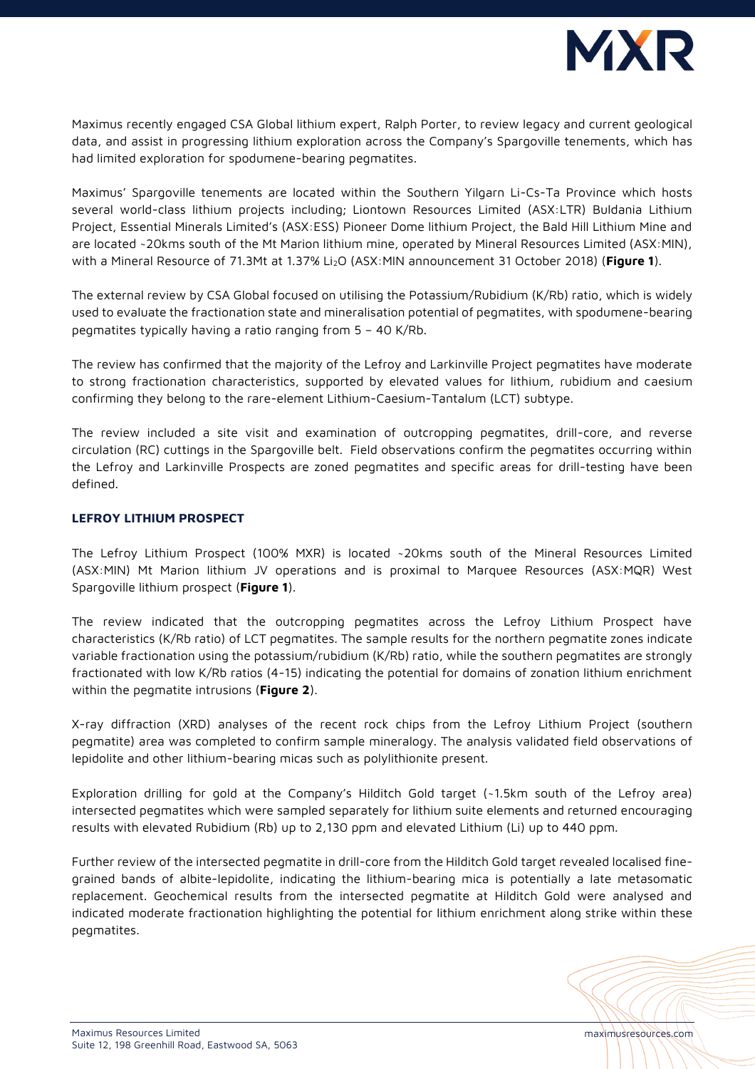

Maximus recently engaged CSA Global lithium expert, Ralph Porter, to review legacy and current geological data, and assist in progressing lithium exploration across the Company's Spargoville tenements, which has had limited exploration for spodumene-bearing pegmatites.

Maximus' Spargoville tenements are located within the Southern Yilgarn Li-Cs-Ta Province which hosts several world-class lithium projects including; Liontown Resources Limited (ASX:LTR) Buldania Lithium Project, Essential Minerals Limited's (ASX:ESS) Pioneer Dome lithium Project, the Bald Hill Lithium Mine and are located ~20kms south of the Mt Marion lithium mine, operated by Mineral Resources Limited (ASX:MIN), with a Mineral Resource of 71.3Mt at 1.37% Li2O (ASX:MIN announcement 31 October 2018) (**Figure 1**).

The external review by CSA Global focused on utilising the Potassium/Rubidium (K/Rb) ratio, which is widely used to evaluate the fractionation state and mineralisation potential of pegmatites, with spodumene-bearing pegmatites typically having a ratio ranging from 5 – 40 K/Rb.

The review has confirmed that the majority of the Lefroy and Larkinville Project pegmatites have moderate to strong fractionation characteristics, supported by elevated values for lithium, rubidium and caesium confirming they belong to the rare-element Lithium-Caesium-Tantalum (LCT) subtype.

The review included a site visit and examination of outcropping pegmatites, drill-core, and reverse circulation (RC) cuttings in the Spargoville belt. Field observations confirm the pegmatites occurring within the Lefroy and Larkinville Prospects are zoned pegmatites and specific areas for drill-testing have been defined.

### **LEFROY LITHIUM PROSPECT**

The Lefroy Lithium Prospect (100% MXR) is located ~20kms south of the Mineral Resources Limited (ASX:MIN) Mt Marion lithium JV operations and is proximal to Marquee Resources (ASX:MQR) West Spargoville lithium prospect (**Figure 1**).

The review indicated that the outcropping pegmatites across the Lefroy Lithium Prospect have characteristics (K/Rb ratio) of LCT pegmatites. The sample results for the northern pegmatite zones indicate variable fractionation using the potassium/rubidium (K/Rb) ratio, while the southern pegmatites are strongly fractionated with low K/Rb ratios (4-15) indicating the potential for domains of zonation lithium enrichment within the pegmatite intrusions (**Figure 2**).

X-ray diffraction (XRD) analyses of the recent rock chips from the Lefroy Lithium Project (southern pegmatite) area was completed to confirm sample mineralogy. The analysis validated field observations of lepidolite and other lithium-bearing micas such as polylithionite present.

Exploration drilling for gold at the Company's Hilditch Gold target (~1.5km south of the Lefroy area) intersected pegmatites which were sampled separately for lithium suite elements and returned encouraging results with elevated Rubidium (Rb) up to 2,130 ppm and elevated Lithium (Li) up to 440 ppm.

Further review of the intersected pegmatite in drill-core from the Hilditch Gold target revealed localised finegrained bands of albite-lepidolite, indicating the lithium-bearing mica is potentially a late metasomatic replacement. Geochemical results from the intersected pegmatite at Hilditch Gold were analysed and indicated moderate fractionation highlighting the potential for lithium enrichment along strike within these pegmatites.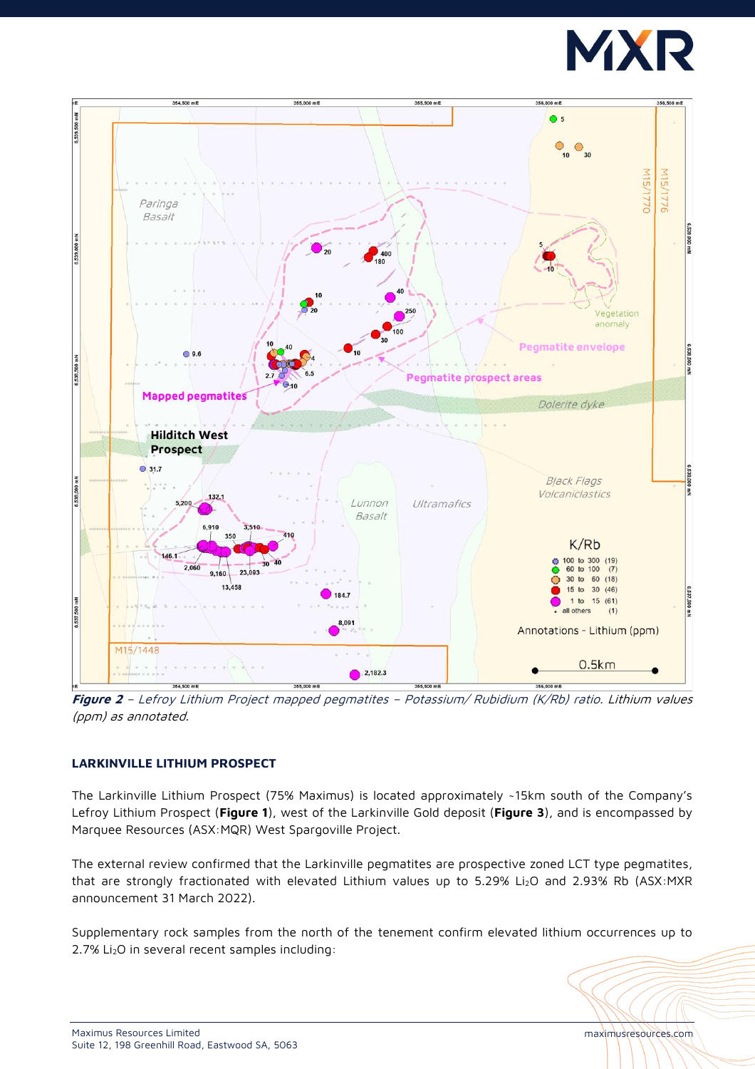



**Figure 2** – Lefroy Lithium Project mapped pegmatites – Potassium/ Rubidium (K/Rb) ratio. Lithium values (ppm) as annotated.

# **LARKINVILLE LITHIUM PROSPECT**

The Larkinville Lithium Prospect (75% Maximus) is located approximately ~15km south of the Company's Lefroy Lithium Prospect (**Figure 1**), west of the Larkinville Gold deposit (**Figure 3**), and is encompassed by Marquee Resources (ASX:MQR) West Spargoville Project.

The external review confirmed that the Larkinville pegmatites are prospective zoned LCT type pegmatites, that are strongly fractionated with elevated Lithium values up to 5.29% Li<sub>2</sub>O and 2.93% Rb (ASX:MXR announcement 31 March 2022).

Supplementary rock samples from the north of the tenement confirm elevated lithium occurrences up to 2.7% Li<sub>2</sub>O in several recent samples including: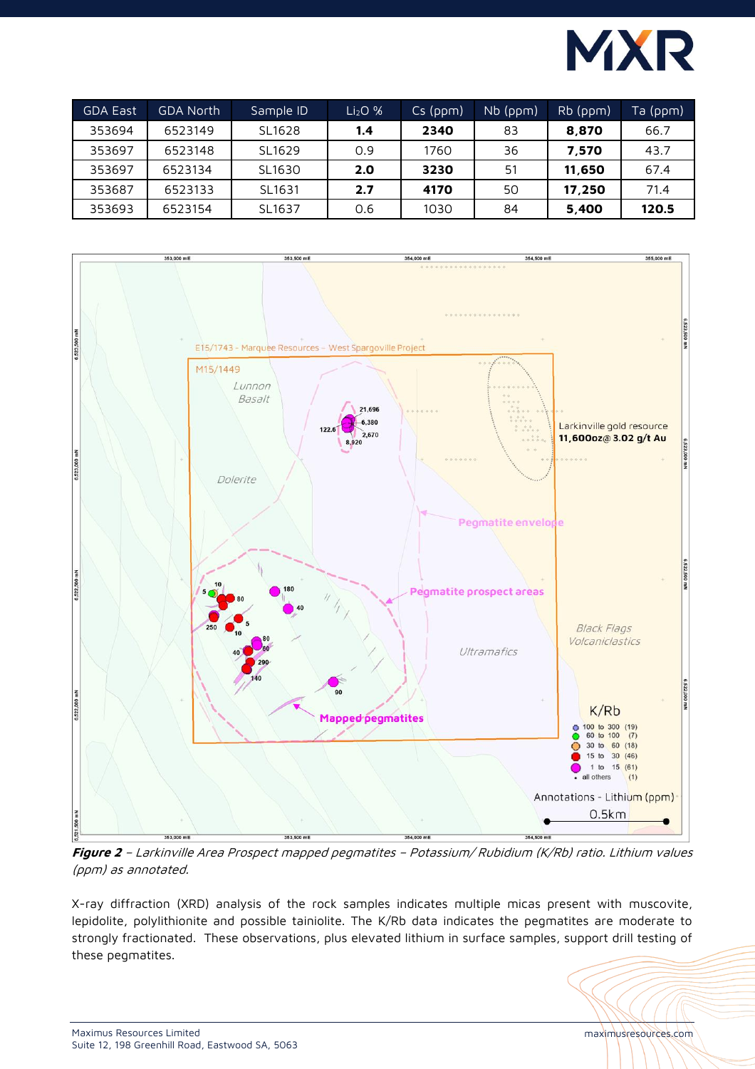

| <b>GDA East</b> | GDA North | Sample ID | Li <sub>2</sub> O <sub>96</sub> | $Cs$ (ppm) | $Nb$ (ppm) | $Rb$ (ppm) | Ta (ppm) |
|-----------------|-----------|-----------|---------------------------------|------------|------------|------------|----------|
| 353694          | 6523149   | SL1628    | 1.4                             | 2340       | 83         | 8,870      | 66.7     |
| 353697          | 6523148   | SL1629    | 0.9                             | 1760       | 36         | 7.570      | 43.7     |
| 353697          | 6523134   | SL1630    | 2.O                             | 3230       | 51         | 11,650     | 67.4     |
| 353687          | 6523133   | SL1631    | 2.7                             | 4170       | 50         | 17.250     | 71.4     |
| 353693          | 6523154   | SL1637    | 0.6                             | 1030       | 84         | 5,400      | 120.5    |



**Figure 2** – Larkinville Area Prospect mapped pegmatites – Potassium/ Rubidium (K/Rb) ratio. Lithium values (ppm) as annotated.

X-ray diffraction (XRD) analysis of the rock samples indicates multiple micas present with muscovite, lepidolite, polylithionite and possible tainiolite. The K/Rb data indicates the pegmatites are moderate to strongly fractionated. These observations, plus elevated lithium in surface samples, support drill testing of these pegmatites.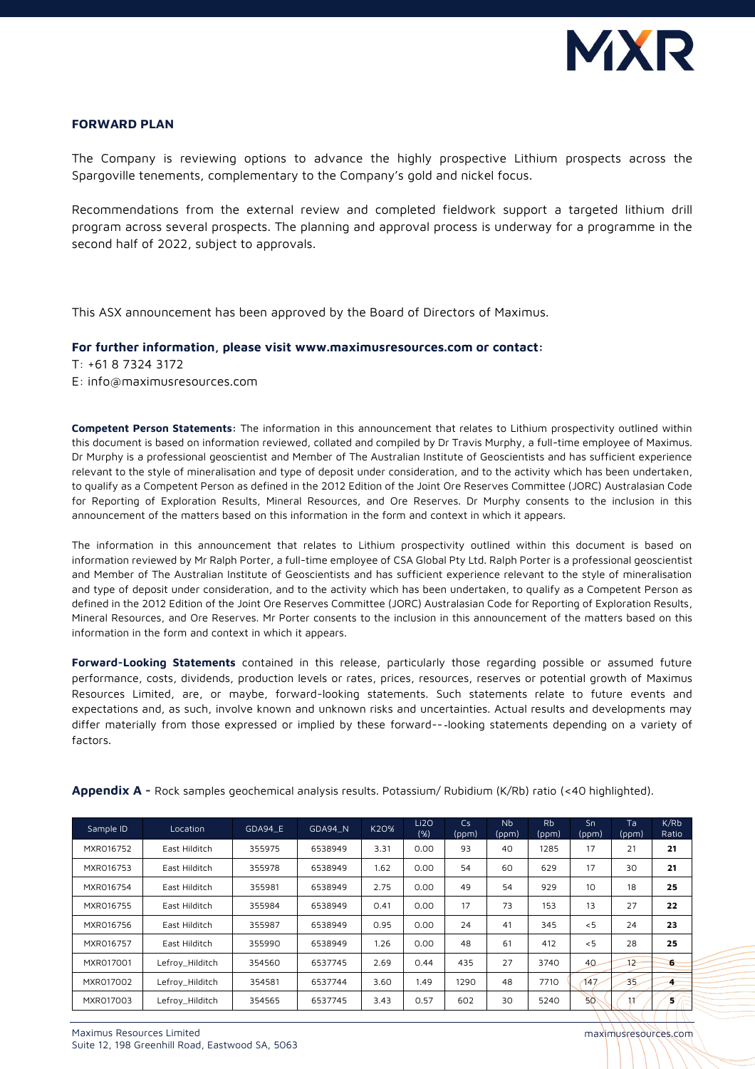

#### **FORWARD PLAN**

The Company is reviewing options to advance the highly prospective Lithium prospects across the Spargoville tenements, complementary to the Company's gold and nickel focus.

Recommendations from the external review and completed fieldwork support a targeted lithium drill program across several prospects. The planning and approval process is underway for a programme in the second half of 2022, subject to approvals.

This ASX announcement has been approved by the Board of Directors of Maximus.

#### **For further information, please visit www.maximusresources.com or contact:**

T: +61 8 7324 3172

E: [info@maximusresources.com](mailto:info@maximusresources.com)

**Competent Person Statements:** The information in this announcement that relates to Lithium prospectivity outlined within this document is based on information reviewed, collated and compiled by Dr Travis Murphy, a full-time employee of Maximus. Dr Murphy is a professional geoscientist and Member of The Australian Institute of Geoscientists and has sufficient experience relevant to the style of mineralisation and type of deposit under consideration, and to the activity which has been undertaken, to qualify as a Competent Person as defined in the 2012 Edition of the Joint Ore Reserves Committee (JORC) Australasian Code for Reporting of Exploration Results, Mineral Resources, and Ore Reserves. Dr Murphy consents to the inclusion in this announcement of the matters based on this information in the form and context in which it appears.

The information in this announcement that relates to Lithium prospectivity outlined within this document is based on information reviewed by Mr Ralph Porter, a full-time employee of CSA Global Pty Ltd. Ralph Porter is a professional geoscientist and Member of The Australian Institute of Geoscientists and has sufficient experience relevant to the style of mineralisation and type of deposit under consideration, and to the activity which has been undertaken, to qualify as a Competent Person as defined in the 2012 Edition of the Joint Ore Reserves Committee (JORC) Australasian Code for Reporting of Exploration Results, Mineral Resources, and Ore Reserves. Mr Porter consents to the inclusion in this announcement of the matters based on this information in the form and context in which it appears.

**Forward-Looking Statements** contained in this release, particularly those regarding possible or assumed future performance, costs, dividends, production levels or rates, prices, resources, reserves or potential growth of Maximus Resources Limited, are, or maybe, forward-looking statements. Such statements relate to future events and expectations and, as such, involve known and unknown risks and uncertainties. Actual results and developments may differ materially from those expressed or implied by these forward--‐looking statements depending on a variety of factors.

| Sample ID | Location        | GDA94 E | GDA94 N | K2O% | Li2O<br>(% ) | Cs<br>(ppm) | <b>N<sub>b</sub></b><br>(ppm) | <b>Rb</b><br>(ppm) | Sn<br>(ppm) | Ta<br>(ppm) | K/Rb<br>Ratio |
|-----------|-----------------|---------|---------|------|--------------|-------------|-------------------------------|--------------------|-------------|-------------|---------------|
| MXR016752 | East Hilditch   | 355975  | 6538949 | 3.31 | 0.00         | 93          | 40                            | 1285               | 17          | 21          | 21            |
| MXR016753 | East Hilditch   | 355978  | 6538949 | 1.62 | 0.00         | 54          | 60                            | 629                | 17          | 30          | 21            |
| MXR016754 | East Hilditch   | 355981  | 6538949 | 2.75 | 0.00         | 49          | 54                            | 929                | 10          | 18          | 25            |
| MXR016755 | East Hilditch   | 355984  | 6538949 | 0.41 | 0.00         | 17          | 73                            | 153                | 13          | 27          | 22            |
| MXR016756 | East Hilditch   | 355987  | 6538949 | 0.95 | 0.00         | 24          | 41                            | 345                | < 5         | 24          | 23            |
| MXR016757 | East Hilditch   | 355990  | 6538949 | 1.26 | 0.00         | 48          | 61                            | 412                | < 5         | 28          | 25            |
| MXR017001 | Lefroy_Hilditch | 354560  | 6537745 | 2.69 | 0.44         | 435         | 27                            | 3740               | 40          | $+2$        | 6             |
| MXR017002 | Lefroy_Hilditch | 354581  | 6537744 | 3.60 | 1.49         | 1290        | 48                            | 7710               | 147         | 35          | 4             |
| MXR017003 | Lefroy_Hilditch | 354565  | 6537745 | 3.43 | 0.57         | 602         | 30                            | 5240               | 50          | 11          | 5.            |

**Appendix A -** Rock samples geochemical analysis results. Potassium/ Rubidium (K/Rb) ratio (<40 highlighted).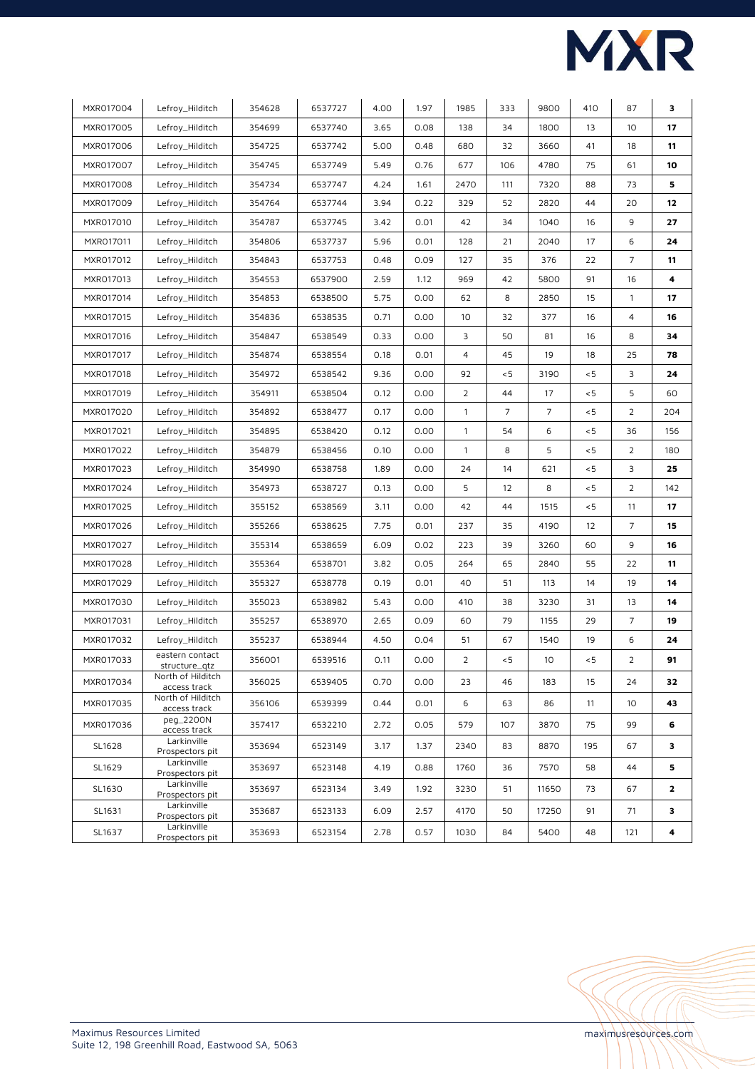

| MXR017004 | Lefroy_Hilditch                   | 354628 | 6537727 | 4.00 | 1.97 | 1985           | 333 | 9800            | 410    | 87             | 3            |
|-----------|-----------------------------------|--------|---------|------|------|----------------|-----|-----------------|--------|----------------|--------------|
| MXR017005 | Lefroy_Hilditch                   | 354699 | 6537740 | 3.65 | 0.08 | 138            | 34  | 1800            | 13     | 10             | 17           |
| MXR017006 | Lefroy_Hilditch                   | 354725 | 6537742 | 5.00 | 0.48 | 680            | 32  | 3660            | 41     | 18             | 11           |
| MXR017007 | Lefroy_Hilditch                   | 354745 | 6537749 | 5.49 | 0.76 | 677            | 106 | 4780            | 75     | 61             | 10           |
| MXR017008 | Lefroy_Hilditch                   | 354734 | 6537747 | 4.24 | 1.61 | 2470           | 111 | 7320            | 88     | 73             | 5            |
| MXR017009 | Lefroy_Hilditch                   | 354764 | 6537744 | 3.94 | 0.22 | 329            | 52  | 2820            | 44     | 20             | 12           |
| MXR017010 | Lefroy_Hilditch                   | 354787 | 6537745 | 3.42 | 0.01 | 42             | 34  | 1040            | 16     | 9              | 27           |
| MXR017011 | Lefroy_Hilditch                   | 354806 | 6537737 | 5.96 | 0.01 | 128            | 21  | 2040            | 17     | 6              | 24           |
| MXR017012 | Lefroy_Hilditch                   | 354843 | 6537753 | 0.48 | 0.09 | 127            | 35  | 376             | 22     | $\overline{7}$ | 11           |
| MXR017013 | Lefroy_Hilditch                   | 354553 | 6537900 | 2.59 | 1.12 | 969            | 42  | 5800            | 91     | 16             | 4            |
| MXR017014 | Lefroy_Hilditch                   | 354853 | 6538500 | 5.75 | 0.00 | 62             | 8   | 2850            | 15     | $\mathbf{1}$   | 17           |
| MXR017015 | Lefroy_Hilditch                   | 354836 | 6538535 | 0.71 | 0.00 | 10             | 32  | 377             | 16     | 4              | 16           |
| MXR017016 | Lefroy_Hilditch                   | 354847 | 6538549 | 0.33 | 0.00 | 3              | 50  | 81              | 16     | 8              | 34           |
| MXR017017 | Lefroy_Hilditch                   | 354874 | 6538554 | 0.18 | 0.01 | 4              | 45  | 19              | 18     | 25             | 78           |
| MXR017018 | Lefroy_Hilditch                   | 354972 | 6538542 | 9.36 | 0.00 | 92             | < 5 | 3190            | < 5    | 3              | 24           |
| MXR017019 | Lefroy_Hilditch                   | 354911 | 6538504 | 0.12 | 0.00 | $\overline{2}$ | 44  | 17              | < 5    | 5              | 60           |
| MXR017020 | Lefroy_Hilditch                   | 354892 | 6538477 | 0.17 | 0.00 | $\mathbf{1}$   | 7   | $\overline{7}$  | $\leq$ | $\overline{2}$ | 204          |
| MXR017021 | Lefroy_Hilditch                   | 354895 | 6538420 | 0.12 | 0.00 | $\mathbf{1}$   | 54  | 6               | < 5    | 36             | 156          |
| MXR017022 | Lefroy_Hilditch                   | 354879 | 6538456 | 0.10 | 0.00 | $\mathbf{1}$   | 8   | 5               | < 5    | 2              | 180          |
| MXR017023 | Lefroy_Hilditch                   | 354990 | 6538758 | 1.89 | 0.00 | 24             | 14  | 621             | < 5    | 3              | 25           |
| MXR017024 | Lefroy_Hilditch                   | 354973 | 6538727 | 0.13 | 0.00 | 5              | 12  | 8               | < 5    | 2              | 142          |
| MXR017025 | Lefroy_Hilditch                   | 355152 | 6538569 | 3.11 | 0.00 | 42             | 44  | 1515            | < 5    | 11             | 17           |
| MXR017026 | Lefroy_Hilditch                   | 355266 | 6538625 | 7.75 | 0.01 | 237            | 35  | 4190            | 12     | $\overline{7}$ | 15           |
| MXR017027 | Lefroy_Hilditch                   | 355314 | 6538659 | 6.09 | 0.02 | 223            | 39  | 3260            | 60     | 9              | 16           |
| MXR017028 | Lefroy_Hilditch                   | 355364 | 6538701 | 3.82 | 0.05 | 264            | 65  | 2840            | 55     | 22             | 11           |
| MXR017029 | Lefroy_Hilditch                   | 355327 | 6538778 | 0.19 | 0.01 | 40             | 51  | 113             | 14     | 19             | 14           |
| MXR017030 | Lefroy_Hilditch                   | 355023 | 6538982 | 5.43 | 0.00 | 410            | 38  | 3230            | 31     | 13             | 14           |
| MXR017031 | Lefroy_Hilditch                   | 355257 | 6538970 | 2.65 | 0.09 | 60             | 79  | 1155            | 29     | $\overline{7}$ | 19           |
| MXR017032 | Lefroy_Hilditch                   | 355237 | 6538944 | 4.50 | 0.04 | 51             | 67  | 1540            | 19     | 6              | 24           |
| MXR017033 | eastern contact<br>structure_qtz  | 356001 | 6539516 | 0.11 | 0.00 | $\overline{2}$ | < 5 | 10 <sup>°</sup> | < 5    | $\overline{2}$ | 91           |
| MXR017034 | North of Hilditch<br>access track | 356025 | 6539405 | 0.70 | 0.00 | 23             | 46  | 183             | 15     | 24             | 32           |
| MXR017035 | North of Hilditch<br>access track | 356106 | 6539399 | 0.44 | 0.01 | 6              | 63  | 86              | 11     | 10             | 43           |
| MXR017036 | peg_2200N<br>access track         | 357417 | 6532210 | 2.72 | 0.05 | 579            | 107 | 3870            | 75     | 99             | 6            |
| SL1628    | Larkinville<br>Prospectors pit    | 353694 | 6523149 | 3.17 | 1.37 | 2340           | 83  | 8870            | 195    | 67             | 3            |
| SL1629    | Larkinville<br>Prospectors pit    | 353697 | 6523148 | 4.19 | 0.88 | 1760           | 36  | 7570            | 58     | 44             | 5            |
| SL1630    | Larkinville<br>Prospectors pit    | 353697 | 6523134 | 3.49 | 1.92 | 3230           | 51  | 11650           | 73     | 67             | $\mathbf{2}$ |
| SL1631    | Larkinville<br>Prospectors pit    | 353687 | 6523133 | 6.09 | 2.57 | 4170           | 50  | 17250           | 91     | 71             | з            |
| SL1637    | Larkinville<br>Prospectors pit    | 353693 | 6523154 | 2.78 | 0.57 | 1030           | 84  | 5400            | 48     | 121            | 4            |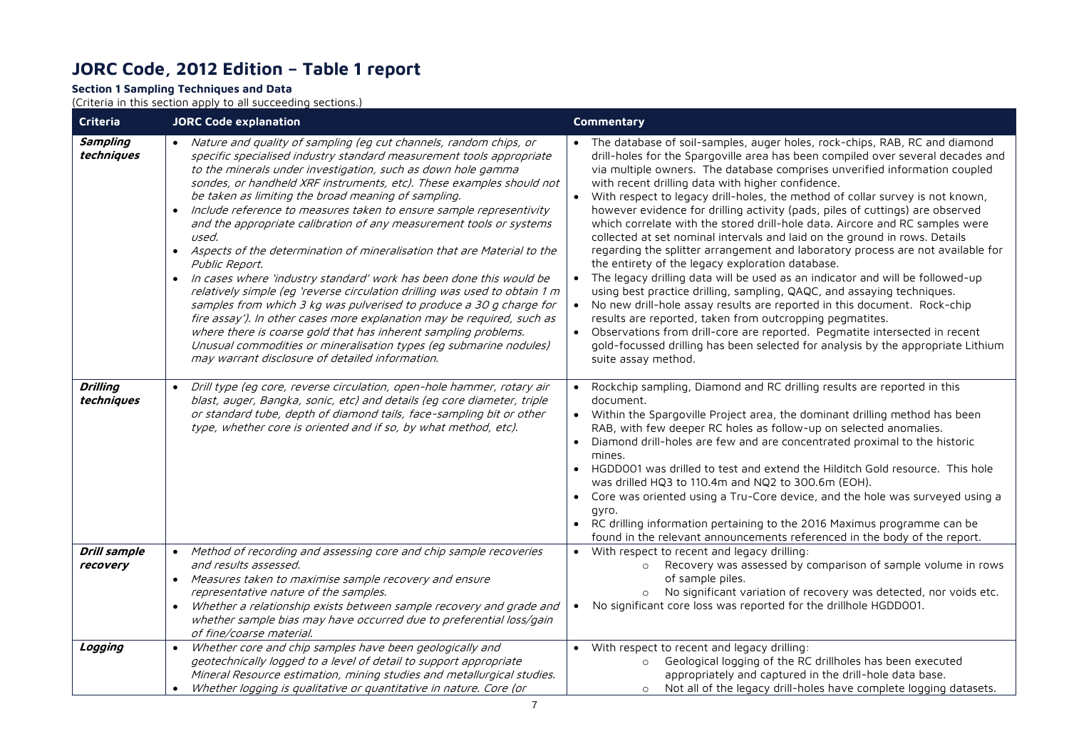# **JORC Code, 2012 Edition – Table 1 report**

# **Section 1 Sampling Techniques and Data**

(Criteria in this section apply to all succeeding sections.)

| Criteria                        | <b>JORC Code explanation</b>                                                                                                                                                                                                                                                                                                                                                                                                                                                                                                                                                                                                                                                                                                                                                                                                                                                                                                                                                                                                                                                                                               | Commentary                                                                                                                                                                                                                                                                                                                                                                                                                                                                                                                                                                                                                                                                                                                                                                                                                                                                                                                                                                                                                                                                                                                                                                                                                                                                                                   |
|---------------------------------|----------------------------------------------------------------------------------------------------------------------------------------------------------------------------------------------------------------------------------------------------------------------------------------------------------------------------------------------------------------------------------------------------------------------------------------------------------------------------------------------------------------------------------------------------------------------------------------------------------------------------------------------------------------------------------------------------------------------------------------------------------------------------------------------------------------------------------------------------------------------------------------------------------------------------------------------------------------------------------------------------------------------------------------------------------------------------------------------------------------------------|--------------------------------------------------------------------------------------------------------------------------------------------------------------------------------------------------------------------------------------------------------------------------------------------------------------------------------------------------------------------------------------------------------------------------------------------------------------------------------------------------------------------------------------------------------------------------------------------------------------------------------------------------------------------------------------------------------------------------------------------------------------------------------------------------------------------------------------------------------------------------------------------------------------------------------------------------------------------------------------------------------------------------------------------------------------------------------------------------------------------------------------------------------------------------------------------------------------------------------------------------------------------------------------------------------------|
| <b>Sampling</b><br>techniques   | • Nature and quality of sampling (eg cut channels, random chips, or<br>specific specialised industry standard measurement tools appropriate<br>to the minerals under investigation, such as down hole gamma<br>sondes, or handheld XRF instruments, etc). These examples should not<br>be taken as limiting the broad meaning of sampling.<br>Include reference to measures taken to ensure sample representivity<br>and the appropriate calibration of any measurement tools or systems<br>used.<br>Aspects of the determination of mineralisation that are Material to the<br>$\bullet$<br>Public Report.<br>In cases where 'industry standard' work has been done this would be<br>$\bullet$<br>relatively simple (eg 'reverse circulation drilling was used to obtain 1 m<br>samples from which 3 kg was pulverised to produce a 30 g charge for<br>fire assay'). In other cases more explanation may be required, such as<br>where there is coarse gold that has inherent sampling problems.<br>Unusual commodities or mineralisation types (eg submarine nodules)<br>may warrant disclosure of detailed information. | • The database of soil-samples, auger holes, rock-chips, RAB, RC and diamond<br>drill-holes for the Spargoville area has been compiled over several decades and<br>via multiple owners. The database comprises unverified information coupled<br>with recent drilling data with higher confidence.<br>With respect to legacy drill-holes, the method of collar survey is not known,<br>$\bullet$<br>however evidence for drilling activity (pads, piles of cuttings) are observed<br>which correlate with the stored drill-hole data. Aircore and RC samples were<br>collected at set nominal intervals and laid on the ground in rows. Details<br>regarding the splitter arrangement and laboratory process are not available for<br>the entirety of the legacy exploration database.<br>The legacy drilling data will be used as an indicator and will be followed-up<br>using best practice drilling, sampling, QAQC, and assaying techniques.<br>No new drill-hole assay results are reported in this document. Rock-chip<br>$\bullet$<br>results are reported, taken from outcropping pegmatites.<br>Observations from drill-core are reported. Pegmatite intersected in recent<br>$\bullet$<br>gold-focussed drilling has been selected for analysis by the appropriate Lithium<br>suite assay method. |
| <b>Drilling</b><br>techniques   | Drill type (eg core, reverse circulation, open-hole hammer, rotary air<br>$\bullet$<br>blast, auger, Bangka, sonic, etc) and details (eg core diameter, triple<br>or standard tube, depth of diamond tails, face-sampling bit or other<br>type, whether core is oriented and if so, by what method, etc).                                                                                                                                                                                                                                                                                                                                                                                                                                                                                                                                                                                                                                                                                                                                                                                                                  | Rockchip sampling, Diamond and RC drilling results are reported in this<br>document.<br>Within the Spargoville Project area, the dominant drilling method has been<br>RAB, with few deeper RC holes as follow-up on selected anomalies.<br>Diamond drill-holes are few and are concentrated proximal to the historic<br>mines.<br>HGDD001 was drilled to test and extend the Hilditch Gold resource. This hole<br>was drilled HQ3 to 110.4m and NQ2 to 300.6m (EOH).<br>Core was oriented using a Tru-Core device, and the hole was surveyed using a<br>qyro.<br>RC drilling information pertaining to the 2016 Maximus programme can be<br>found in the relevant announcements referenced in the body of the report.                                                                                                                                                                                                                                                                                                                                                                                                                                                                                                                                                                                        |
| <b>Drill sample</b><br>recovery | Method of recording and assessing core and chip sample recoveries<br>$\bullet$<br>and results assessed.<br>Measures taken to maximise sample recovery and ensure<br>$\bullet$<br>representative nature of the samples.<br>Whether a relationship exists between sample recovery and grade and<br>$\bullet$<br>whether sample bias may have occurred due to preferential loss/gain<br>of fine/coarse material.                                                                                                                                                                                                                                                                                                                                                                                                                                                                                                                                                                                                                                                                                                              | With respect to recent and legacy drilling:<br>Recovery was assessed by comparison of sample volume in rows<br>of sample piles.<br>No significant variation of recovery was detected, nor voids etc.<br>$\circ$<br>No significant core loss was reported for the drillhole HGDD001.                                                                                                                                                                                                                                                                                                                                                                                                                                                                                                                                                                                                                                                                                                                                                                                                                                                                                                                                                                                                                          |
| Logging                         | Whether core and chip samples have been geologically and<br>$\bullet$<br>geotechnically logged to a level of detail to support appropriate<br>Mineral Resource estimation, mining studies and metallurgical studies.<br>Whether logging is qualitative or quantitative in nature. Core (or<br>$\bullet$                                                                                                                                                                                                                                                                                                                                                                                                                                                                                                                                                                                                                                                                                                                                                                                                                    | • With respect to recent and legacy drilling:<br>Geological logging of the RC drillholes has been executed<br>$\circ$<br>appropriately and captured in the drill-hole data base.<br>o Not all of the legacy drill-holes have complete logging datasets.                                                                                                                                                                                                                                                                                                                                                                                                                                                                                                                                                                                                                                                                                                                                                                                                                                                                                                                                                                                                                                                      |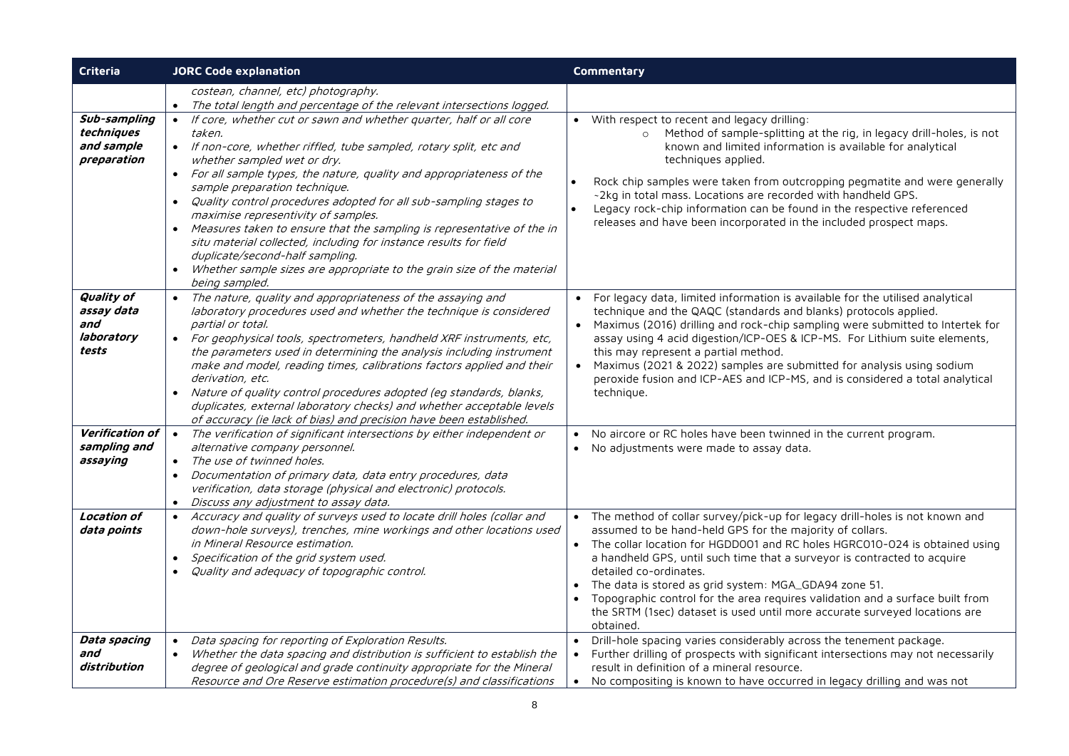| Criteria                                                      | <b>JORC Code explanation</b>                                                                                                                                                                                                                                                                                                                                                                                                                                                                                                                                                                                                                                                              | Commentary                                                                                                                                                                                                                                                                                                                                                                                                                                                                                                                                                                                 |  |  |  |  |
|---------------------------------------------------------------|-------------------------------------------------------------------------------------------------------------------------------------------------------------------------------------------------------------------------------------------------------------------------------------------------------------------------------------------------------------------------------------------------------------------------------------------------------------------------------------------------------------------------------------------------------------------------------------------------------------------------------------------------------------------------------------------|--------------------------------------------------------------------------------------------------------------------------------------------------------------------------------------------------------------------------------------------------------------------------------------------------------------------------------------------------------------------------------------------------------------------------------------------------------------------------------------------------------------------------------------------------------------------------------------------|--|--|--|--|
|                                                               | costean, channel, etc) photography.<br>The total length and percentage of the relevant intersections logged.<br>$\bullet$                                                                                                                                                                                                                                                                                                                                                                                                                                                                                                                                                                 |                                                                                                                                                                                                                                                                                                                                                                                                                                                                                                                                                                                            |  |  |  |  |
| Sub-sampling<br>techniques<br>and sample<br>preparation       | • If core, whether cut or sawn and whether quarter, half or all core<br>taken.<br>• If non-core, whether riffled, tube sampled, rotary split, etc and<br>whether sampled wet or dry.<br>For all sample types, the nature, quality and appropriateness of the<br>sample preparation technique.<br>Quality control procedures adopted for all sub-sampling stages to<br>maximise representivity of samples.<br>• Measures taken to ensure that the sampling is representative of the in<br>situ material collected, including for instance results for field<br>duplicate/second-half sampling.<br>Whether sample sizes are appropriate to the grain size of the material<br>being sampled. | • With respect to recent and legacy drilling:<br>Method of sample-splitting at the rig, in legacy drill-holes, is not<br>$\circ$<br>known and limited information is available for analytical<br>techniques applied.<br>Rock chip samples were taken from outcropping pegmatite and were generally<br>~2kg in total mass. Locations are recorded with handheld GPS.<br>Legacy rock-chip information can be found in the respective referenced<br>releases and have been incorporated in the included prospect maps.                                                                        |  |  |  |  |
| <b>Quality of</b><br>assay data<br>and<br>laboratory<br>tests | The nature, quality and appropriateness of the assaying and<br>laboratory procedures used and whether the technique is considered<br>partial or total.<br>• For geophysical tools, spectrometers, handheld XRF instruments, etc,<br>the parameters used in determining the analysis including instrument<br>make and model, reading times, calibrations factors applied and their<br>derivation, etc.<br>Nature of quality control procedures adopted (eq standards, blanks,<br>duplicates, external laboratory checks) and whether acceptable levels<br>of accuracy (ie lack of bias) and precision have been established.                                                               | For legacy data, limited information is available for the utilised analytical<br>$\bullet$<br>technique and the QAQC (standards and blanks) protocols applied.<br>Maximus (2016) drilling and rock-chip sampling were submitted to Intertek for<br>$\bullet$<br>assay using 4 acid digestion/ICP-OES & ICP-MS. For Lithium suite elements,<br>this may represent a partial method.<br>Maximus (2021 & 2022) samples are submitted for analysis using sodium<br>$\bullet$<br>peroxide fusion and ICP-AES and ICP-MS, and is considered a total analytical<br>technique.                     |  |  |  |  |
| Verification of<br>sampling and<br>assaying                   | The verification of significant intersections by either independent or<br>$\bullet$<br>alternative company personnel.<br>The use of twinned holes.<br>Documentation of primary data, data entry procedures, data<br>verification, data storage (physical and electronic) protocols.<br>Discuss any adjustment to assay data.<br>$\bullet$                                                                                                                                                                                                                                                                                                                                                 | No aircore or RC holes have been twinned in the current program.<br>$\bullet$<br>No adjustments were made to assay data.                                                                                                                                                                                                                                                                                                                                                                                                                                                                   |  |  |  |  |
| <b>Location of</b><br>data points                             | Accuracy and quality of surveys used to locate drill holes (collar and<br>$\bullet$<br>down-hole surveys), trenches, mine workings and other locations used<br>in Mineral Resource estimation.<br>Specification of the grid system used.<br>$\bullet$<br>Quality and adequacy of topographic control.                                                                                                                                                                                                                                                                                                                                                                                     | The method of collar survey/pick-up for legacy drill-holes is not known and<br>$\bullet$<br>assumed to be hand-held GPS for the majority of collars.<br>The collar location for HGDD001 and RC holes HGRC010-024 is obtained using<br>$\bullet$<br>a handheld GPS, until such time that a surveyor is contracted to acquire<br>detailed co-ordinates.<br>The data is stored as grid system: MGA_GDA94 zone 51.<br>Topographic control for the area requires validation and a surface built from<br>the SRTM (1sec) dataset is used until more accurate surveyed locations are<br>obtained. |  |  |  |  |
| Data spacing<br>and<br>distribution                           | Data spacing for reporting of Exploration Results.<br>$\bullet$<br>Whether the data spacing and distribution is sufficient to establish the<br>$\bullet$<br>degree of geological and grade continuity appropriate for the Mineral<br>Resource and Ore Reserve estimation procedure(s) and classifications                                                                                                                                                                                                                                                                                                                                                                                 | Drill-hole spacing varies considerably across the tenement package.<br>Further drilling of prospects with significant intersections may not necessarily<br>$\bullet$<br>result in definition of a mineral resource.<br>No compositing is known to have occurred in legacy drilling and was not<br>$\bullet$                                                                                                                                                                                                                                                                                |  |  |  |  |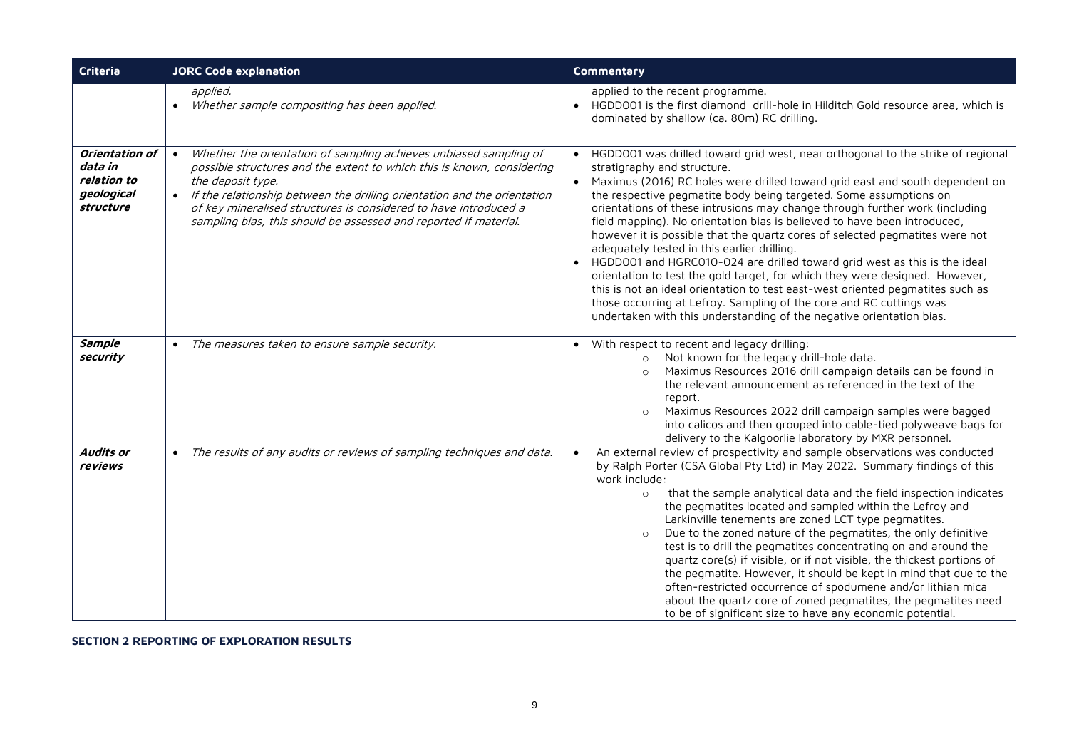| Criteria                                                            | <b>JORC Code explanation</b>                                                                                                                                                                                                                                                                                                                                                                        | Commentary                                                                                                                                                                                                                                                                                                                                                                                                                                                                                                                                                                                                                                                                                                                                                                                                                                                                                                                                                                  |
|---------------------------------------------------------------------|-----------------------------------------------------------------------------------------------------------------------------------------------------------------------------------------------------------------------------------------------------------------------------------------------------------------------------------------------------------------------------------------------------|-----------------------------------------------------------------------------------------------------------------------------------------------------------------------------------------------------------------------------------------------------------------------------------------------------------------------------------------------------------------------------------------------------------------------------------------------------------------------------------------------------------------------------------------------------------------------------------------------------------------------------------------------------------------------------------------------------------------------------------------------------------------------------------------------------------------------------------------------------------------------------------------------------------------------------------------------------------------------------|
|                                                                     | applied.<br>• Whether sample compositing has been applied.                                                                                                                                                                                                                                                                                                                                          | applied to the recent programme.<br>• HGDD001 is the first diamond drill-hole in Hilditch Gold resource area, which is<br>dominated by shallow (ca. 80m) RC drilling.                                                                                                                                                                                                                                                                                                                                                                                                                                                                                                                                                                                                                                                                                                                                                                                                       |
| Orientation of<br>data in<br>relation to<br>geological<br>structure | Whether the orientation of sampling achieves unbiased sampling of<br>$\bullet$<br>possible structures and the extent to which this is known, considering<br>the deposit type.<br>• If the relationship between the drilling orientation and the orientation<br>of key mineralised structures is considered to have introduced a<br>sampling bias, this should be assessed and reported if material. | HGDD001 was drilled toward grid west, near orthogonal to the strike of regional<br>$\bullet$<br>stratigraphy and structure.<br>• Maximus (2016) RC holes were drilled toward grid east and south dependent on<br>the respective pegmatite body being targeted. Some assumptions on<br>orientations of these intrusions may change through further work (including<br>field mapping). No orientation bias is believed to have been introduced,<br>however it is possible that the quartz cores of selected pegmatites were not<br>adequately tested in this earlier drilling.<br>• HGDD001 and HGRC010-024 are drilled toward grid west as this is the ideal<br>orientation to test the gold target, for which they were designed. However,<br>this is not an ideal orientation to test east-west oriented pegmatites such as<br>those occurring at Lefroy. Sampling of the core and RC cuttings was<br>undertaken with this understanding of the negative orientation bias. |
| Sample<br>security                                                  | • The measures taken to ensure sample security.                                                                                                                                                                                                                                                                                                                                                     | With respect to recent and legacy drilling:<br>Not known for the legacy drill-hole data.<br>$\circ$<br>Maximus Resources 2016 drill campaign details can be found in<br>$\Omega$<br>the relevant announcement as referenced in the text of the<br>report.<br>Maximus Resources 2022 drill campaign samples were bagged<br>$\circ$<br>into calicos and then grouped into cable-tied polyweave bags for<br>delivery to the Kalgoorlie laboratory by MXR personnel.                                                                                                                                                                                                                                                                                                                                                                                                                                                                                                            |
| Audits or<br>reviews                                                | • The results of any audits or reviews of sampling techniques and data.                                                                                                                                                                                                                                                                                                                             | An external review of prospectivity and sample observations was conducted<br>$\bullet$<br>by Ralph Porter (CSA Global Pty Ltd) in May 2022. Summary findings of this<br>work include:<br>that the sample analytical data and the field inspection indicates<br>$\circ$<br>the pegmatites located and sampled within the Lefroy and<br>Larkinville tenements are zoned LCT type pegmatites.<br>Due to the zoned nature of the pegmatites, the only definitive<br>$\circ$<br>test is to drill the pegmatites concentrating on and around the<br>quartz core(s) if visible, or if not visible, the thickest portions of<br>the pegmatite. However, it should be kept in mind that due to the<br>often-restricted occurrence of spodumene and/or lithian mica<br>about the quartz core of zoned pegmatites, the pegmatites need<br>to be of significant size to have any economic potential.                                                                                    |

**SECTION 2 REPORTING OF EXPLORATION RESULTS**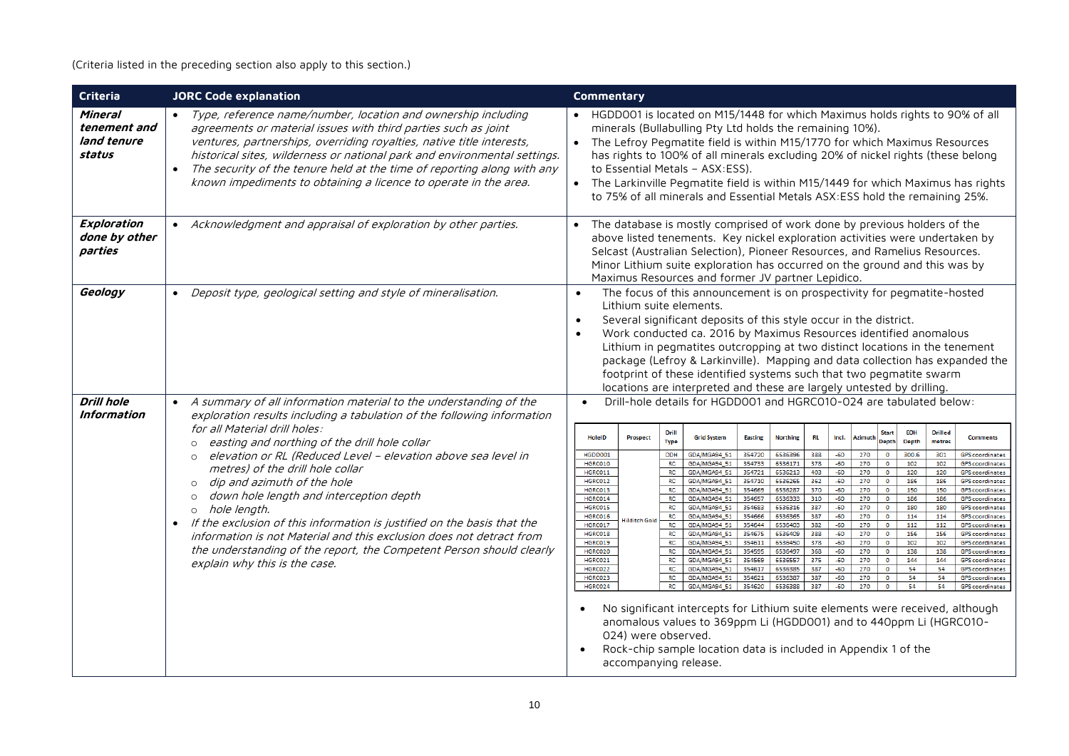# (Criteria listed in the preceding section also apply to this section.)

| Criteria                                         | <b>JORC Code explanation</b>                                                                                                                                                                                                                                                                                                                                                                                                                                                                                                                | Commentary                                                                                                                                                                                                                                                                                                                                                                                                                                                                                                                                                                                                                                                                                                                                                                                                                                                                                                                                                                                                                                                                                                                                                                                                                                                                                                                                                                                                                                                                                                                                                                                                                                                                                                                                                                                                                                                                                                                                                                                                                                                                                                                                                                                                                                                                                                                                                                                                                                                                                                                                                                                                                                                                                                                                        |
|--------------------------------------------------|---------------------------------------------------------------------------------------------------------------------------------------------------------------------------------------------------------------------------------------------------------------------------------------------------------------------------------------------------------------------------------------------------------------------------------------------------------------------------------------------------------------------------------------------|---------------------------------------------------------------------------------------------------------------------------------------------------------------------------------------------------------------------------------------------------------------------------------------------------------------------------------------------------------------------------------------------------------------------------------------------------------------------------------------------------------------------------------------------------------------------------------------------------------------------------------------------------------------------------------------------------------------------------------------------------------------------------------------------------------------------------------------------------------------------------------------------------------------------------------------------------------------------------------------------------------------------------------------------------------------------------------------------------------------------------------------------------------------------------------------------------------------------------------------------------------------------------------------------------------------------------------------------------------------------------------------------------------------------------------------------------------------------------------------------------------------------------------------------------------------------------------------------------------------------------------------------------------------------------------------------------------------------------------------------------------------------------------------------------------------------------------------------------------------------------------------------------------------------------------------------------------------------------------------------------------------------------------------------------------------------------------------------------------------------------------------------------------------------------------------------------------------------------------------------------------------------------------------------------------------------------------------------------------------------------------------------------------------------------------------------------------------------------------------------------------------------------------------------------------------------------------------------------------------------------------------------------------------------------------------------------------------------------------------------------|
| Mineral<br>tenement and<br>land tenure<br>status | Type, reference name/number, location and ownership including<br>agreements or material issues with third parties such as joint<br>ventures, partnerships, overriding royalties, native title interests,<br>historical sites, wilderness or national park and environmental settings.<br>The security of the tenure held at the time of reporting along with any<br>$\bullet$<br>known impediments to obtaining a licence to operate in the area.                                                                                           | HGDD001 is located on M15/1448 for which Maximus holds rights to 90% of all<br>minerals (Bullabulling Pty Ltd holds the remaining 10%).<br>• The Lefroy Pegmatite field is within M15/1770 for which Maximus Resources<br>has rights to 100% of all minerals excluding 20% of nickel rights (these belong<br>to Essential Metals - ASX:ESS).<br>• The Larkinville Pegmatite field is within M15/1449 for which Maximus has rights<br>to 75% of all minerals and Essential Metals ASX: ESS hold the remaining 25%.                                                                                                                                                                                                                                                                                                                                                                                                                                                                                                                                                                                                                                                                                                                                                                                                                                                                                                                                                                                                                                                                                                                                                                                                                                                                                                                                                                                                                                                                                                                                                                                                                                                                                                                                                                                                                                                                                                                                                                                                                                                                                                                                                                                                                                 |
| Exploration<br>done by other<br>parties          | Acknowledgment and appraisal of exploration by other parties.                                                                                                                                                                                                                                                                                                                                                                                                                                                                               | The database is mostly comprised of work done by previous holders of the<br>$\bullet$<br>above listed tenements. Key nickel exploration activities were undertaken by<br>Selcast (Australian Selection), Pioneer Resources, and Ramelius Resources.<br>Minor Lithium suite exploration has occurred on the ground and this was by<br>Maximus Resources and former JV partner Lepidico.                                                                                                                                                                                                                                                                                                                                                                                                                                                                                                                                                                                                                                                                                                                                                                                                                                                                                                                                                                                                                                                                                                                                                                                                                                                                                                                                                                                                                                                                                                                                                                                                                                                                                                                                                                                                                                                                                                                                                                                                                                                                                                                                                                                                                                                                                                                                                            |
| Geology                                          | Deposit type, geological setting and style of mineralisation.                                                                                                                                                                                                                                                                                                                                                                                                                                                                               | The focus of this announcement is on prospectivity for pegmatite-hosted<br>$\bullet$<br>Lithium suite elements.<br>Several significant deposits of this style occur in the district.<br>$\bullet$<br>Work conducted ca. 2016 by Maximus Resources identified anomalous<br>$\bullet$<br>Lithium in pegmatites outcropping at two distinct locations in the tenement<br>package (Lefroy & Larkinville). Mapping and data collection has expanded the<br>footprint of these identified systems such that two pegmatite swarm<br>locations are interpreted and these are largely untested by drilling.                                                                                                                                                                                                                                                                                                                                                                                                                                                                                                                                                                                                                                                                                                                                                                                                                                                                                                                                                                                                                                                                                                                                                                                                                                                                                                                                                                                                                                                                                                                                                                                                                                                                                                                                                                                                                                                                                                                                                                                                                                                                                                                                                |
| <b>Drill hole</b><br>Information                 | A summary of all information material to the understanding of the<br>exploration results including a tabulation of the following information<br>for all Material drill holes:                                                                                                                                                                                                                                                                                                                                                               | Drill-hole details for HGDD001 and HGRC010-024 are tabulated below:<br>Drill<br><b>EOH</b><br><b>Drilled</b><br>Start                                                                                                                                                                                                                                                                                                                                                                                                                                                                                                                                                                                                                                                                                                                                                                                                                                                                                                                                                                                                                                                                                                                                                                                                                                                                                                                                                                                                                                                                                                                                                                                                                                                                                                                                                                                                                                                                                                                                                                                                                                                                                                                                                                                                                                                                                                                                                                                                                                                                                                                                                                                                                             |
|                                                  | easting and northing of the drill hole collar<br>elevation or RL (Reduced Level - elevation above sea level in<br>metres) of the drill hole collar<br>dip and azimuth of the hole<br>$\circ$<br>down hole length and interception depth<br>hole length.<br>$\circ$<br>If the exclusion of this information is justified on the basis that the<br>$\bullet$<br>information is not Material and this exclusion does not detract from<br>the understanding of the report, the Competent Person should clearly<br>explain why this is the case. | HolelD<br>Prospect<br><b>Grid System</b><br><b>Easting</b><br><b>Northing</b><br><b>RL</b><br>Incl.<br>Azimuth<br><b>Comments</b><br><b>Depth</b><br><b>Type</b><br><b>Depth</b><br>metres<br>HGDD001<br>6536396<br>388<br>$-60$<br>270<br>300.6<br><b>DDH</b><br>GDA/MGA94_51<br>354720<br>$\circ$<br>301<br><b>GPS</b> coordinates<br>HGRC010<br><b>RC</b><br>GDA/MGA94_51<br>354733<br>6536171<br>378<br>$-60$<br>270<br>$\circ$<br>102<br>102<br><b>GPS</b> coordinates<br>403<br>$-60$<br>270<br>HGRC011<br><b>RC</b><br>GDA/MGA94 51<br>6536213<br>120<br>120<br>354721<br>$\circ$<br><b>GPS</b> coordinates<br>6536265<br>362<br>$-60$<br>270<br>HGRC012<br><b>RC</b><br>GDA/MGA94_51<br>354710<br>$\circ$<br>186<br>186<br><b>GPS</b> coordinates<br>270<br>HGRC013<br><b>RC</b><br>6536287<br>370<br>$-60$<br>$\mathbf 0$<br>150<br>150<br>GDA/MGA94_51<br>354669<br><b>GPS</b> coordinates<br>HGRC014<br>RC<br>GDA/MGA94 51<br>354657<br>6536333<br>310<br>$-60$<br>270<br>$\circ$<br>186<br>186<br><b>GPS</b> coordinates<br>HGRC015<br>387<br>$-60$<br>270<br><b>RC</b><br>354683<br>6536316<br>$\circ$<br>180<br>180<br>GDA/MGA94_51<br><b>GPS</b> coordinates<br>387<br>270<br>HGRC016<br><b>RC</b><br>GDA/MGA94_51<br>354666<br>6536365<br>$-60$<br>$\circ$<br>114<br>114<br><b>GPS</b> coordinates<br><b>Hilditch Gold</b><br>HGRC017<br>6536403<br>382<br>270<br>112<br><b>RC</b><br>GDA/MGA94 51<br>354644<br>$-60$<br>$\circ$<br>112<br><b>GPS</b> coordinates<br>HGRC018<br>388<br>$-60$<br>270<br>156<br>RC<br>GDA/MGA94_51<br>354675<br>6536409<br>$\bullet$<br>156<br><b>GPS</b> coordinates<br>HGRC019<br><b>RC</b><br>GDA/MGA94 51<br>354611<br>6536450<br>378<br>$-60$<br>270<br>$\circ$<br>102<br>102<br><b>GPS</b> coordinates<br>368<br>HGRC020<br><b>RC</b><br>6536497<br>$-60$<br>270<br>138<br>GDA/MGA94 51<br>354595<br>$\bullet$<br>138<br><b>GPS</b> coordinates<br>6536557<br>HGRC021<br><b>RC</b><br>GDA/MGA94 51<br>354569<br>375<br>$-60$<br>270<br>$\circ$<br>144<br>144<br><b>GPS</b> coordinates<br>HGRC022<br><b>RC</b><br>6536385<br>387<br>$-60$<br>270<br>54<br>54<br>GDA/MGA94_51<br>354617<br>$\circ$<br><b>GPS</b> coordinates<br>HGRC023<br>354621<br>6536387<br>387<br>$-60$<br>270<br>54<br>54<br><b>RC</b><br>GDA/MGA94 51<br>$\bullet$<br><b>GPS</b> coordinates<br>HGRC024<br>RC<br>354620<br>6536388<br>387<br>$-60$<br>270<br>$\overline{0}$<br>54<br>GDA/MGA94 51<br>54<br><b>GPS</b> coordinates<br>No significant intercepts for Lithium suite elements were received, although<br>anomalous values to 369ppm Li (HGDD001) and to 440ppm Li (HGRC010-<br>024) were observed.<br>Rock-chip sample location data is included in Appendix 1 of the<br>$\bullet$<br>accompanying release. |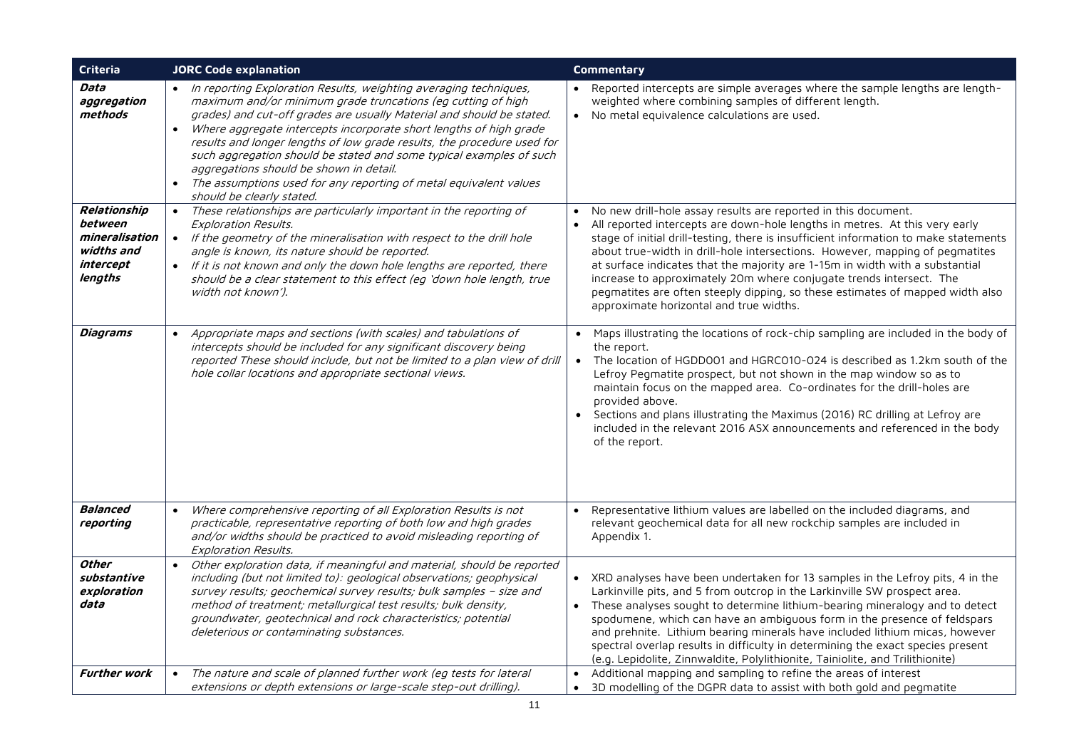| Criteria                                                                        | <b>JORC Code explanation</b>                                                                                                                                                                                                                                                                                                                                                                                                                                                                                                                                                                              | <b>Commentary</b>                                                                                                                                                                                                                                                                                                                                                                                                                                                                                                                                                                                                     |
|---------------------------------------------------------------------------------|-----------------------------------------------------------------------------------------------------------------------------------------------------------------------------------------------------------------------------------------------------------------------------------------------------------------------------------------------------------------------------------------------------------------------------------------------------------------------------------------------------------------------------------------------------------------------------------------------------------|-----------------------------------------------------------------------------------------------------------------------------------------------------------------------------------------------------------------------------------------------------------------------------------------------------------------------------------------------------------------------------------------------------------------------------------------------------------------------------------------------------------------------------------------------------------------------------------------------------------------------|
| Data<br>aggregation<br>methods                                                  | In reporting Exploration Results, weighting averaging techniques,<br>maximum and/or minimum grade truncations (eg cutting of high<br>grades) and cut-off grades are usually Material and should be stated.<br>Where aggregate intercepts incorporate short lengths of high grade<br>$\bullet$<br>results and longer lengths of low grade results, the procedure used for<br>such aggregation should be stated and some typical examples of such<br>aggregations should be shown in detail.<br>The assumptions used for any reporting of metal equivalent values<br>$\bullet$<br>should be clearly stated. | Reported intercepts are simple averages where the sample lengths are length-<br>weighted where combining samples of different length.<br>No metal equivalence calculations are used.<br>$\bullet$                                                                                                                                                                                                                                                                                                                                                                                                                     |
| Relationship<br>between<br>mineralisation<br>widths and<br>intercept<br>lengths | These relationships are particularly important in the reporting of<br>$\bullet$<br>Exploration Results.<br>• If the geometry of the mineralisation with respect to the drill hole<br>angle is known, its nature should be reported.<br>• If it is not known and only the down hole lengths are reported, there<br>should be a clear statement to this effect (eg 'down hole length, true<br>width not known').                                                                                                                                                                                            | No new drill-hole assay results are reported in this document.<br>All reported intercepts are down-hole lengths in metres. At this very early<br>$\bullet$<br>stage of initial drill-testing, there is insufficient information to make statements<br>about true-width in drill-hole intersections. However, mapping of pegmatites<br>at surface indicates that the majority are 1-15m in width with a substantial<br>increase to approximately 20m where conjugate trends intersect. The<br>pegmatites are often steeply dipping, so these estimates of mapped width also<br>approximate horizontal and true widths. |
| Diagrams                                                                        | Appropriate maps and sections (with scales) and tabulations of<br>$\bullet$<br>intercepts should be included for any significant discovery being<br>reported These should include, but not be limited to a plan view of drill<br>hole collar locations and appropriate sectional views.                                                                                                                                                                                                                                                                                                                   | Maps illustrating the locations of rock-chip sampling are included in the body of<br>the report.<br>The location of HGDD001 and HGRC010-024 is described as 1.2km south of the<br>$\bullet$<br>Lefroy Pegmatite prospect, but not shown in the map window so as to<br>maintain focus on the mapped area. Co-ordinates for the drill-holes are<br>provided above.<br>Sections and plans illustrating the Maximus (2016) RC drilling at Lefroy are<br>included in the relevant 2016 ASX announcements and referenced in the body<br>of the report.                                                                      |
| <b>Balanced</b><br>reporting                                                    | Where comprehensive reporting of all Exploration Results is not<br>$\bullet$<br>practicable, representative reporting of both low and high grades<br>and/or widths should be practiced to avoid misleading reporting of<br>Exploration Results.                                                                                                                                                                                                                                                                                                                                                           | Representative lithium values are labelled on the included diagrams, and<br>$\bullet$<br>relevant geochemical data for all new rockchip samples are included in<br>Appendix 1.                                                                                                                                                                                                                                                                                                                                                                                                                                        |
| Other<br>substantive<br>exploration<br>data                                     | Other exploration data, if meaningful and material, should be reported<br>including (but not limited to): geological observations; geophysical<br>survey results; geochemical survey results; bulk samples - size and<br>method of treatment; metallurgical test results; bulk density,<br>groundwater, geotechnical and rock characteristics; potential<br>deleterious or contaminating substances.                                                                                                                                                                                                      | • XRD analyses have been undertaken for 13 samples in the Lefroy pits, 4 in the<br>Larkinville pits, and 5 from outcrop in the Larkinville SW prospect area.<br>• These analyses sought to determine lithium-bearing mineralogy and to detect<br>spodumene, which can have an ambiguous form in the presence of feldspars<br>and prehnite. Lithium bearing minerals have included lithium micas, however<br>spectral overlap results in difficulty in determining the exact species present<br>(e.g. Lepidolite, Zinnwaldite, Polylithionite, Tainiolite, and Trilithionite)                                          |
| <b>Further work</b>                                                             | The nature and scale of planned further work (eg tests for lateral<br>$\bullet$<br>extensions or depth extensions or large-scale step-out drilling).                                                                                                                                                                                                                                                                                                                                                                                                                                                      | Additional mapping and sampling to refine the areas of interest<br>$\bullet$<br>3D modelling of the DGPR data to assist with both gold and pegmatite                                                                                                                                                                                                                                                                                                                                                                                                                                                                  |